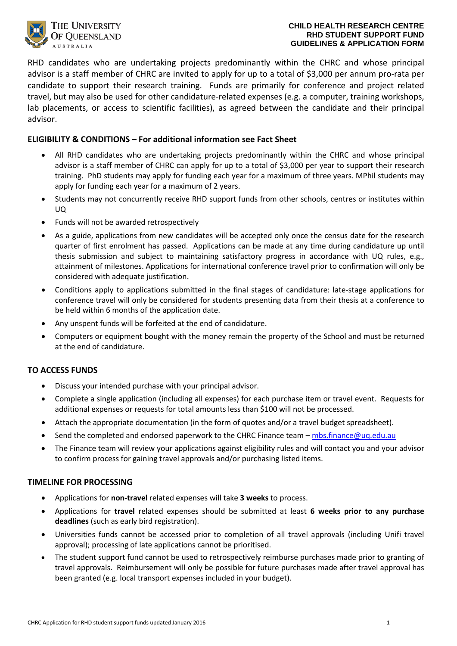

RHD candidates who are undertaking projects predominantly within the CHRC and whose principal advisor is a staff member of CHRC are invited to apply for up to a total of \$3,000 per annum pro-rata per candidate to support their research training. Funds are primarily for conference and project related travel, but may also be used for other candidature-related expenses (e.g. a computer, training workshops, lab placements, or access to scientific facilities), as agreed between the candidate and their principal advisor.

# **ELIGIBILITY & CONDITIONS – For additional information see Fact Sheet**

- All RHD candidates who are undertaking projects predominantly within the CHRC and whose principal advisor is a staff member of CHRC can apply for up to a total of \$3,000 per year to support their research training. PhD students may apply for funding each year for a maximum of three years. MPhil students may apply for funding each year for a maximum of 2 years.
- Students may not concurrently receive RHD support funds from other schools, centres or institutes within UQ
- Funds will not be awarded retrospectively
- As a guide, applications from new candidates will be accepted only once the census date for the research quarter of first enrolment has passed. Applications can be made at any time during candidature up until thesis submission and subject to maintaining satisfactory progress in accordance with UQ rules, e.g., attainment of milestones. Applications for international conference travel prior to confirmation will only be considered with adequate justification.
- Conditions apply to applications submitted in the final stages of candidature: late-stage applications for conference travel will only be considered for students presenting data from their thesis at a conference to be held within 6 months of the application date.
- Any unspent funds will be forfeited at the end of candidature.
- Computers or equipment bought with the money remain the property of the School and must be returned at the end of candidature.

### **TO ACCESS FUNDS**

- Discuss your intended purchase with your principal advisor.
- Complete a single application (including all expenses) for each purchase item or travel event. Requests for additional expenses or requests for total amounts less than \$100 will not be processed.
- Attach the appropriate documentation (in the form of quotes and/or a travel budget spreadsheet).
- Send the completed and endorsed paperwork to the CHRC Finance team  $-\frac{mbs \cdot \text{finance} \omega_{\text{U}}}{mq}$
- The Finance team will review your applications against eligibility rules and will contact you and your advisor to confirm process for gaining travel approvals and/or purchasing listed items.

### **TIMELINE FOR PROCESSING**

- Applications for **non-travel** related expenses will take **3 weeks** to process.
- Applications for **travel** related expenses should be submitted at least **6 weeks prior to any purchase deadlines** (such as early bird registration).
- Universities funds cannot be accessed prior to completion of all travel approvals (including Unifi travel approval); processing of late applications cannot be prioritised.
- The student support fund cannot be used to retrospectively reimburse purchases made prior to granting of travel approvals. Reimbursement will only be possible for future purchases made after travel approval has been granted (e.g. local transport expenses included in your budget).